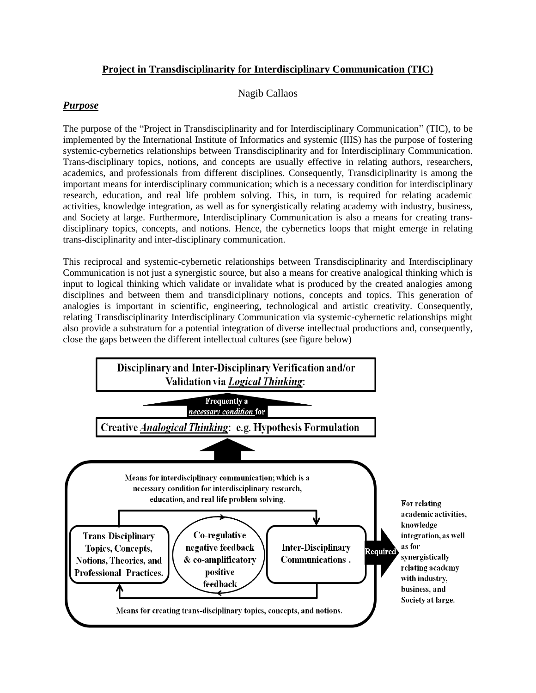# **Project in Transdisciplinarity for Interdisciplinary Communication (TIC)**

### Nagib Callaos

# *Purpose*

The purpose of the "Project in Transdisciplinarity and for Interdisciplinary Communication" (TIC), to be implemented by the International Institute of Informatics and systemic (IIIS) has the purpose of fostering systemic-cybernetics relationships between Transdisciplinarity and for Interdisciplinary Communication. Trans-disciplinary topics, notions, and concepts are usually effective in relating authors, researchers, academics, and professionals from different disciplines. Consequently, Transdiciplinarity is among the important means for interdisciplinary communication; which is a necessary condition for interdisciplinary research, education, and real life problem solving. This, in turn, is required for relating academic activities, knowledge integration, as well as for synergistically relating academy with industry, business, and Society at large. Furthermore, Interdisciplinary Communication is also a means for creating transdisciplinary topics, concepts, and notions. Hence, the cybernetics loops that might emerge in relating trans-disciplinarity and inter-disciplinary communication.

This reciprocal and systemic-cybernetic relationships between Transdisciplinarity and Interdisciplinary Communication is not just a synergistic source, but also a means for creative analogical thinking which is input to logical thinking which validate or invalidate what is produced by the created analogies among disciplines and between them and transdiciplinary notions, concepts and topics. This generation of analogies is important in scientific, engineering, technological and artistic creativity. Consequently, relating Transdisciplinarity Interdisciplinary Communication via systemic-cybernetic relationships might also provide a substratum for a potential integration of diverse intellectual productions and, consequently, close the gaps between the different intellectual cultures (see figure below)